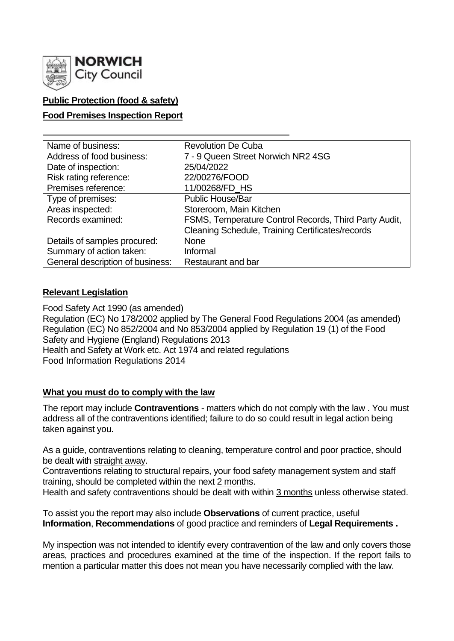

# **Public Protection (food & safety)**

### **Food Premises Inspection Report**

| Name of business:                | <b>Revolution De Cuba</b>                             |
|----------------------------------|-------------------------------------------------------|
| Address of food business:        | 7 - 9 Queen Street Norwich NR2 4SG                    |
| Date of inspection:              | 25/04/2022                                            |
| Risk rating reference:           | 22/00276/FOOD                                         |
| Premises reference:              | 11/00268/FD HS                                        |
| Type of premises:                | <b>Public House/Bar</b>                               |
| Areas inspected:                 | Storeroom, Main Kitchen                               |
| Records examined:                | FSMS, Temperature Control Records, Third Party Audit, |
|                                  | Cleaning Schedule, Training Certificates/records      |
| Details of samples procured:     | <b>None</b>                                           |
| Summary of action taken:         | Informal                                              |
| General description of business: | Restaurant and bar                                    |

#### **Relevant Legislation**

Food Safety Act 1990 (as amended) Regulation (EC) No 178/2002 applied by The General Food Regulations 2004 (as amended) Regulation (EC) No 852/2004 and No 853/2004 applied by Regulation 19 (1) of the Food Safety and Hygiene (England) Regulations 2013 Health and Safety at Work etc. Act 1974 and related regulations Food Information Regulations 2014

## **What you must do to comply with the law**

The report may include **Contraventions** - matters which do not comply with the law . You must address all of the contraventions identified; failure to do so could result in legal action being taken against you.

As a guide, contraventions relating to cleaning, temperature control and poor practice, should be dealt with straight away.

Contraventions relating to structural repairs, your food safety management system and staff training, should be completed within the next 2 months.

Health and safety contraventions should be dealt with within 3 months unless otherwise stated.

To assist you the report may also include **Observations** of current practice, useful **Information**, **Recommendations** of good practice and reminders of **Legal Requirements .**

My inspection was not intended to identify every contravention of the law and only covers those areas, practices and procedures examined at the time of the inspection. If the report fails to mention a particular matter this does not mean you have necessarily complied with the law.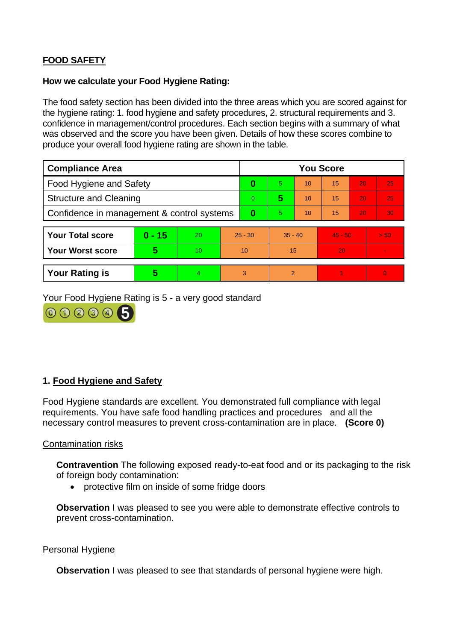# **FOOD SAFETY**

#### **How we calculate your Food Hygiene Rating:**

The food safety section has been divided into the three areas which you are scored against for the hygiene rating: 1. food hygiene and safety procedures, 2. structural requirements and 3. confidence in management/control procedures. Each section begins with a summary of what was observed and the score you have been given. Details of how these scores combine to produce your overall food hygiene rating are shown in the table.

| <b>Compliance Area</b>                     |          |    |           | <b>You Score</b> |               |    |           |    |                |
|--------------------------------------------|----------|----|-----------|------------------|---------------|----|-----------|----|----------------|
| Food Hygiene and Safety                    |          |    |           | 0                | 5             | 10 | 15        | 20 | 25             |
| <b>Structure and Cleaning</b>              |          |    |           | $\Omega$         | 5             | 10 | 15        | 20 | 25             |
| Confidence in management & control systems |          |    |           | 0                | 5.            | 10 | 15        | 20 | 30             |
|                                            |          |    |           |                  |               |    |           |    |                |
| <b>Your Total score</b>                    | $0 - 15$ | 20 | $25 - 30$ |                  | $35 - 40$     |    | $45 - 50$ |    | > 50           |
| <b>Your Worst score</b>                    | 5        | 10 | 10        |                  | 15            |    | 20        |    | $\blacksquare$ |
|                                            |          |    |           |                  |               |    |           |    |                |
| <b>Your Rating is</b>                      | 5        | 4  | 3         |                  | $\mathcal{P}$ |    |           |    | $\overline{0}$ |

Your Food Hygiene Rating is 5 - a very good standard



#### **1. Food Hygiene and Safety**

Food Hygiene standards are excellent. You demonstrated full compliance with legal requirements. You have safe food handling practices and procedures and all the necessary control measures to prevent cross-contamination are in place. **(Score 0)**

#### Contamination risks

**Contravention** The following exposed ready-to-eat food and or its packaging to the risk of foreign body contamination:

• protective film on inside of some fridge doors

**Observation** I was pleased to see you were able to demonstrate effective controls to prevent cross-contamination.

#### Personal Hygiene

**Observation** I was pleased to see that standards of personal hygiene were high.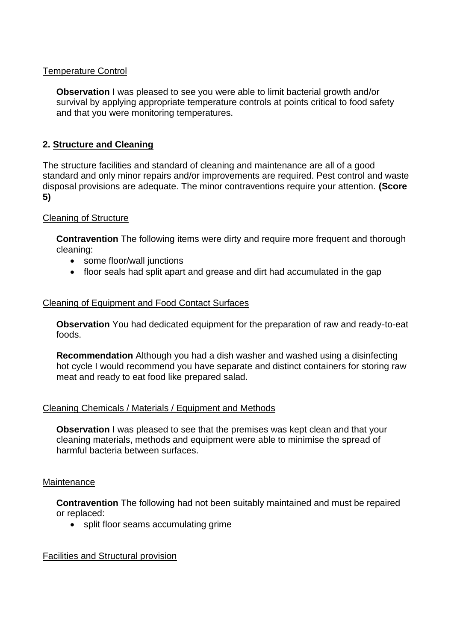### Temperature Control

**Observation** I was pleased to see you were able to limit bacterial growth and/or survival by applying appropriate temperature controls at points critical to food safety and that you were monitoring temperatures.

### **2. Structure and Cleaning**

The structure facilities and standard of cleaning and maintenance are all of a good standard and only minor repairs and/or improvements are required. Pest control and waste disposal provisions are adequate. The minor contraventions require your attention. **(Score 5)**

#### Cleaning of Structure

**Contravention** The following items were dirty and require more frequent and thorough cleaning:

- some floor/wall junctions
- floor seals had split apart and grease and dirt had accumulated in the gap

#### Cleaning of Equipment and Food Contact Surfaces

**Observation** You had dedicated equipment for the preparation of raw and ready-to-eat foods.

**Recommendation** Although you had a dish washer and washed using a disinfecting hot cycle I would recommend you have separate and distinct containers for storing raw meat and ready to eat food like prepared salad.

#### Cleaning Chemicals / Materials / Equipment and Methods

**Observation** I was pleased to see that the premises was kept clean and that your cleaning materials, methods and equipment were able to minimise the spread of harmful bacteria between surfaces.

#### **Maintenance**

**Contravention** The following had not been suitably maintained and must be repaired or replaced:

• split floor seams accumulating grime

#### Facilities and Structural provision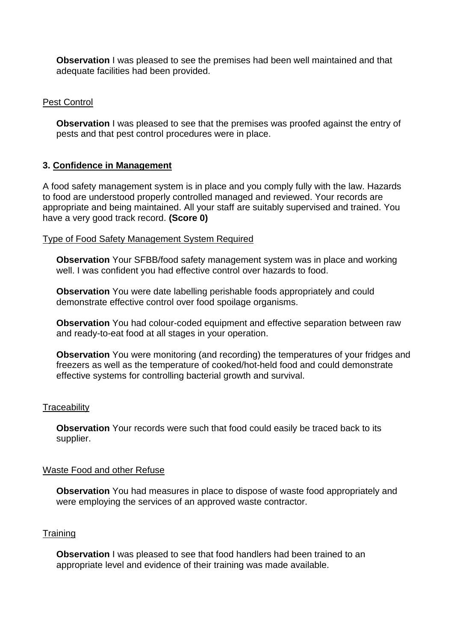**Observation** I was pleased to see the premises had been well maintained and that adequate facilities had been provided.

### Pest Control

**Observation** I was pleased to see that the premises was proofed against the entry of pests and that pest control procedures were in place.

## **3. Confidence in Management**

A food safety management system is in place and you comply fully with the law. Hazards to food are understood properly controlled managed and reviewed. Your records are appropriate and being maintained. All your staff are suitably supervised and trained. You have a very good track record. **(Score 0)**

#### Type of Food Safety Management System Required

**Observation** Your SFBB/food safety management system was in place and working well. I was confident you had effective control over hazards to food.

**Observation** You were date labelling perishable foods appropriately and could demonstrate effective control over food spoilage organisms.

**Observation** You had colour-coded equipment and effective separation between raw and ready-to-eat food at all stages in your operation.

**Observation** You were monitoring (and recording) the temperatures of your fridges and freezers as well as the temperature of cooked/hot-held food and could demonstrate effective systems for controlling bacterial growth and survival.

#### **Traceability**

**Observation** Your records were such that food could easily be traced back to its supplier.

#### Waste Food and other Refuse

**Observation** You had measures in place to dispose of waste food appropriately and were employing the services of an approved waste contractor.

### **Training**

**Observation** I was pleased to see that food handlers had been trained to an appropriate level and evidence of their training was made available.